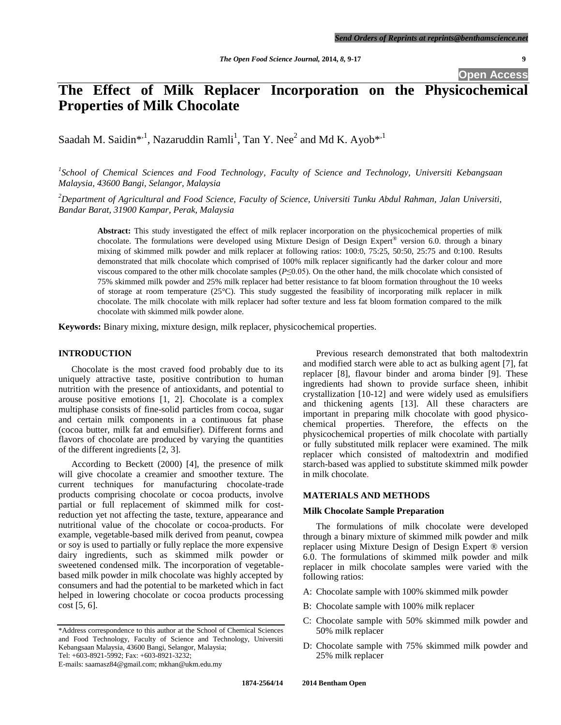**Open Access**

# **The Effect of Milk Replacer Incorporation on the Physicochemical Properties of Milk Chocolate**

Saadah M. Saidin $^{*,1}$ , Nazaruddin Ramli<sup>1</sup>, Tan Y. Nee<sup>2</sup> and Md K. Ayob $^{*,1}$ 

*1 School of Chemical Sciences and Food Technology, Faculty of Science and Technology, Universiti Kebangsaan Malaysia, 43600 Bangi, Selangor, Malaysia*

*<sup>2</sup>Department of Agricultural and Food Science, Faculty of Science, Universiti Tunku Abdul Rahman, Jalan Universiti, Bandar Barat, 31900 Kampar, Perak, Malaysia*

**Abstract:** This study investigated the effect of milk replacer incorporation on the physicochemical properties of milk chocolate. The formulations were developed using Mixture Design of Design Expert® version 6.0. through a binary mixing of skimmed milk powder and milk replacer at following ratios: 100:0, 75:25, 50:50, 25:75 and 0:100. Results demonstrated that milk chocolate which comprised of 100% milk replacer significantly had the darker colour and more viscous compared to the other milk chocolate samples (*P*≤0.05). On the other hand, the milk chocolate which consisted of 75% skimmed milk powder and 25% milk replacer had better resistance to fat bloom formation throughout the 10 weeks of storage at room temperature (25°C). This study suggested the feasibility of incorporating milk replacer in milk chocolate. The milk chocolate with milk replacer had softer texture and less fat bloom formation compared to the milk chocolate with skimmed milk powder alone.

**Keywords:** Binary mixing, mixture design, milk replacer, physicochemical properties.

# **INTRODUCTION**

Chocolate is the most craved food probably due to its uniquely attractive taste, positive contribution to human nutrition with the presence of antioxidants, and potential to arouse positive emotions [1, 2]. Chocolate is a complex multiphase consists of fine-solid particles from cocoa, sugar and certain milk components in a continuous fat phase (cocoa butter, milk fat and emulsifier). Different forms and flavors of chocolate are produced by varying the quantities of the different ingredients [2, 3].

According to Beckett (2000) [4], the presence of milk will give chocolate a creamier and smoother texture. The current techniques for manufacturing chocolate-trade products comprising chocolate or cocoa products, involve partial or full replacement of skimmed milk for costreduction yet not affecting the taste, texture, appearance and nutritional value of the chocolate or cocoa-products. For example, vegetable-based milk derived from peanut, cowpea or soy is used to partially or fully replace the more expensive dairy ingredients, such as skimmed milk powder or sweetened condensed milk. The incorporation of vegetablebased milk powder in milk chocolate was highly accepted by consumers and had the potential to be marketed which in fact helped in lowering chocolate or cocoa products processing cost [5, 6].

Tel: +603-8921-5992; Fax: +603-8921-3232;

Previous research demonstrated that both maltodextrin and modified starch were able to act as bulking agent [7], fat replacer [8], flavour binder and aroma binder [9]. These ingredients had shown to provide surface sheen, inhibit crystallization [10-12] and were widely used as emulsifiers and thickening agents [13]. All these characters are important in preparing milk chocolate with good physicochemical properties. Therefore, the effects on the physicochemical properties of milk chocolate with partially or fully substituted milk replacer were examined. The milk replacer which consisted of maltodextrin and modified starch-based was applied to substitute skimmed milk powder in milk chocolate.

# **MATERIALS AND METHODS**

#### **Milk Chocolate Sample Preparation**

The formulations of milk chocolate were developed through a binary mixture of skimmed milk powder and milk replacer using Mixture Design of Design Expert ® version 6.0. The formulations of skimmed milk powder and milk replacer in milk chocolate samples were varied with the following ratios:

- A: Chocolate sample with 100% skimmed milk powder
- B: Chocolate sample with 100% milk replacer
- C: Chocolate sample with 50% skimmed milk powder and 50% milk replacer
- D: Chocolate sample with 75% skimmed milk powder and 25% milk replacer

<sup>\*</sup>Address correspondence to this author at the School of Chemical Sciences and Food Technology, Faculty of Science and Technology, Universiti Kebangsaan Malaysia, 43600 Bangi, Selangor, Malaysia;

E-mails: saamasz84@gmail.com; mkhan@ukm.edu.my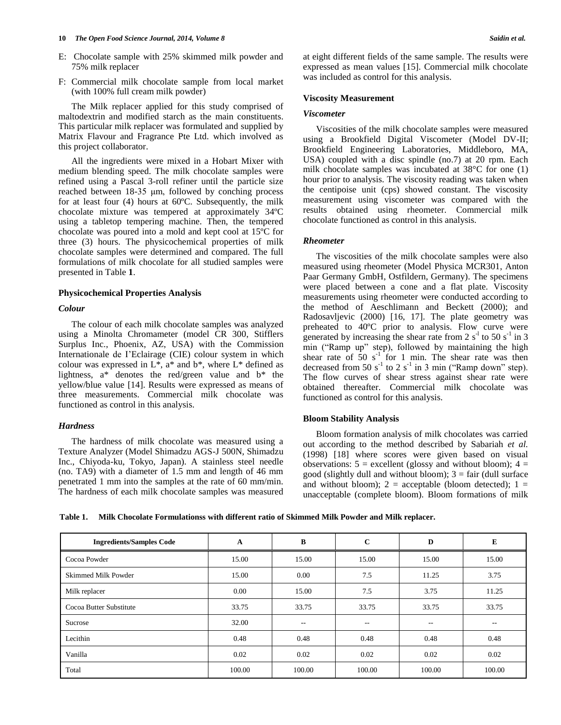#### **10** *The Open Food Science Journal, 2014, Volume 8 Saidin et al.*

- E: Chocolate sample with 25% skimmed milk powder and 75% milk replacer
- F: Commercial milk chocolate sample from local market (with 100% full cream milk powder)

The Milk replacer applied for this study comprised of maltodextrin and modified starch as the main constituents. This particular milk replacer was formulated and supplied by Matrix Flavour and Fragrance Pte Ltd. which involved as this project collaborator.

All the ingredients were mixed in a Hobart Mixer with medium blending speed. The milk chocolate samples were refined using a Pascal 3-roll refiner until the particle size reached between 18-35 μm, followed by conching process for at least four (4) hours at 60ºC. Subsequently, the milk chocolate mixture was tempered at approximately 34ºC using a tabletop tempering machine. Then, the tempered chocolate was poured into a mold and kept cool at 15ºC for three (3) hours. The physicochemical properties of milk chocolate samples were determined and compared. The full formulations of milk chocolate for all studied samples were presented in Table **1**.

# **Physicochemical Properties Analysis**

#### *Colour*

The colour of each milk chocolate samples was analyzed using a Minolta Chromameter (model CR 300, Stifflers Surplus Inc., Phoenix, AZ, USA) with the Commission Internationale de I'Eclairage (CIE) colour system in which colour was expressed in  $L^*$ ,  $a^*$  and  $b^*$ , where  $L^*$  defined as lightness, a\* denotes the red/green value and b\* the yellow/blue value [14]. Results were expressed as means of three measurements. Commercial milk chocolate was functioned as control in this analysis.

#### *Hardness*

The hardness of milk chocolate was measured using a Texture Analyzer (Model Shimadzu AGS-J 500N, Shimadzu Inc., Chiyoda-ku, Tokyo, Japan). A stainless steel needle (no. TA9) with a diameter of 1.5 mm and length of 46 mm penetrated 1 mm into the samples at the rate of 60 mm/min. The hardness of each milk chocolate samples was measured at eight different fields of the same sample. The results were expressed as mean values [15]. Commercial milk chocolate was included as control for this analysis.

#### **Viscosity Measurement**

#### *Viscometer*

Viscosities of the milk chocolate samples were measured using a Brookfield Digital Viscometer (Model DV-II; Brookfield Engineering Laboratories, Middleboro, MA, USA) coupled with a disc spindle (no.7) at 20 rpm. Each milk chocolate samples was incubated at 38°C for one (1) hour prior to analysis. The viscosity reading was taken when the centipoise unit (cps) showed constant. The viscosity measurement using viscometer was compared with the results obtained using rheometer. Commercial milk chocolate functioned as control in this analysis.

#### *Rheometer*

The viscosities of the milk chocolate samples were also measured using rheometer (Model Physica MCR301, Anton Paar Germany GmbH, Ostfildern, Germany). The specimens were placed between a cone and a flat plate. Viscosity measurements using rheometer were conducted according to the method of Aeschlimann and Beckett (2000); and Radosavljevic (2000) [16, 17]. The plate geometry was preheated to 40ºC prior to analysis. Flow curve were generated by increasing the shear rate from 2  $s^{-1}$  to 50  $s^{-1}$  in 3 min ("Ramp up" step), followed by maintaining the high shear rate of  $50 s<sup>-1</sup>$  for 1 min. The shear rate was then decreased from 50  $s^{-1}$  to 2  $s^{-1}$  in 3 min ("Ramp down" step). The flow curves of shear stress against shear rate were obtained thereafter. Commercial milk chocolate was functioned as control for this analysis.

#### **Bloom Stability Analysis**

Bloom formation analysis of milk chocolates was carried out according to the method described by Sabariah *et al.* (1998) [18] where scores were given based on visual observations:  $5 =$  excellent (glossy and without bloom);  $4 =$ good (slightly dull and without bloom);  $3 = \text{fair}$  (dull surface and without bloom);  $2 =$  acceptable (bloom detected);  $1 =$ unacceptable (complete bloom). Bloom formations of milk

**Table 1. Milk Chocolate Formulationss with different ratio of Skimmed Milk Powder and Milk replacer.**

| <b>Ingredients/Samples Code</b> | A      | В      | $\mathbf{C}$ | D      | E      |
|---------------------------------|--------|--------|--------------|--------|--------|
| Cocoa Powder                    | 15.00  | 15.00  | 15.00        | 15.00  | 15.00  |
| <b>Skimmed Milk Powder</b>      | 15.00  | 0.00   | 7.5          | 11.25  | 3.75   |
| Milk replacer                   | 0.00   | 15.00  | 7.5          | 3.75   | 11.25  |
| Cocoa Butter Substitute         | 33.75  | 33.75  | 33.75        | 33.75  | 33.75  |
| Sucrose                         | 32.00  | $- -$  | $- -$        | $- -$  | --     |
| Lecithin                        | 0.48   | 0.48   | 0.48         | 0.48   | 0.48   |
| Vanilla                         | 0.02   | 0.02   | 0.02         | 0.02   | 0.02   |
| Total                           | 100.00 | 100.00 | 100.00       | 100.00 | 100.00 |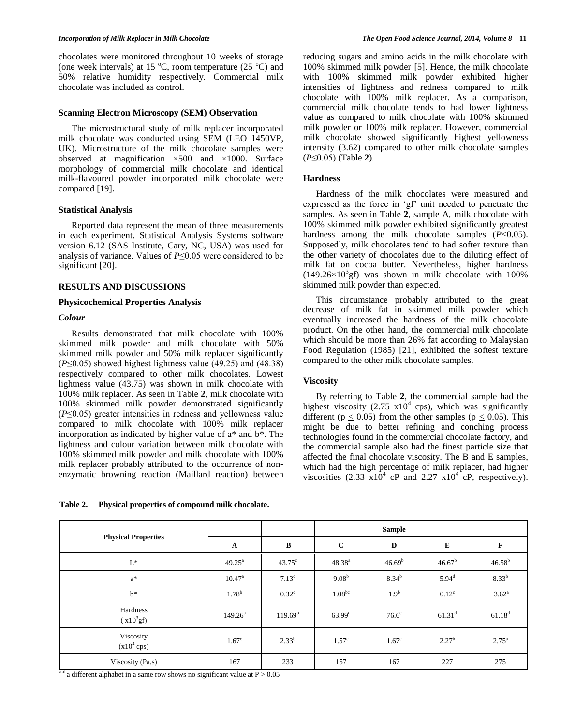chocolates were monitored throughout 10 weeks of storage (one week intervals) at 15  $^{\circ}$ C, room temperature (25  $^{\circ}$ C) and 50% relative humidity respectively. Commercial milk chocolate was included as control.

#### **Scanning Electron Microscopy (SEM) Observation**

The microstructural study of milk replacer incorporated milk chocolate was conducted using SEM (LEO 1450VP, UK). Microstructure of the milk chocolate samples were observed at magnification ×500 and ×1000. Surface morphology of commercial milk chocolate and identical milk-flavoured powder incorporated milk chocolate were compared [19].

# **Statistical Analysis**

Reported data represent the mean of three measurements in each experiment. Statistical Analysis Systems software version 6.12 (SAS Institute, Cary, NC, USA) was used for analysis of variance. Values of *P*≤0.05 were considered to be significant [20].

# **RESULTS AND DISCUSSIONS**

# **Physicochemical Properties Analysis**

# *Colour*

Results demonstrated that milk chocolate with 100% skimmed milk powder and milk chocolate with 50% skimmed milk powder and 50% milk replacer significantly  $(P \le 0.05)$  showed highest lightness value (49.25) and (48.38) respectively compared to other milk chocolates. Lowest lightness value (43.75) was shown in milk chocolate with 100% milk replacer. As seen in Table **2**, milk chocolate with 100% skimmed milk powder demonstrated significantly (*P*≤0.05) greater intensities in redness and yellowness value compared to milk chocolate with 100% milk replacer incorporation as indicated by higher value of a\* and b\*. The lightness and colour variation between milk chocolate with 100% skimmed milk powder and milk chocolate with 100% milk replacer probably attributed to the occurrence of nonenzymatic browning reaction (Maillard reaction) between

**Table 2. Physical properties of compound milk chocolate.**

reducing sugars and amino acids in the milk chocolate with 100% skimmed milk powder [5]. Hence, the milk chocolate with 100% skimmed milk powder exhibited higher intensities of lightness and redness compared to milk chocolate with 100% milk replacer. As a comparison, commercial milk chocolate tends to had lower lightness value as compared to milk chocolate with 100% skimmed milk powder or 100% milk replacer. However, commercial milk chocolate showed significantly highest yellowness intensity (3.62) compared to other milk chocolate samples (*P*≤0.05) (Table **2**).

# **Hardness**

Hardness of the milk chocolates were measured and expressed as the force in 'gf' unit needed to penetrate the samples. As seen in Table **2**, sample A, milk chocolate with 100% skimmed milk powder exhibited significantly greatest hardness among the milk chocolate samples (*P*<0.05). Supposedly, milk chocolates tend to had softer texture than the other variety of chocolates due to the diluting effect of milk fat on cocoa butter. Nevertheless, higher hardness  $(149.26\times10^{3}$ gf) was shown in milk chocolate with 100% skimmed milk powder than expected.

This circumstance probably attributed to the great decrease of milk fat in skimmed milk powder which eventually increased the hardness of the milk chocolate product. On the other hand, the commercial milk chocolate which should be more than 26% fat according to Malaysian Food Regulation (1985) [21], exhibited the softest texture compared to the other milk chocolate samples.

#### **Viscosity**

By referring to Table **2**, the commercial sample had the highest viscosity  $(2.75 \times 10^4 \text{ cps})$ , which was significantly different ( $p \le 0.05$ ) from the other samples ( $p \le 0.05$ ). This might be due to better refining and conching process technologies found in the commercial chocolate factory, and the commercial sample also had the finest particle size that affected the final chocolate viscosity. The B and E samples, which had the high percentage of milk replacer, had higher viscosities  $(2.33 \text{ x}10^4 \text{ cP}$  and  $2.27 \text{ x}10^4 \text{ cP}$ , respectively).

|                            |                    |                     |                   | <b>Sample</b>      |                 |                   |
|----------------------------|--------------------|---------------------|-------------------|--------------------|-----------------|-------------------|
| <b>Physical Properties</b> | $\mathbf A$        | B                   | $\mathbf C$       | D                  | E               | F                 |
| $L^*$                      | $49.25^{\text{a}}$ | $43.75^{\circ}$     | $48.38^{a}$       | 46.69 <sup>b</sup> | $46.67^{\rm b}$ | $46.58^{b}$       |
| $a^*$                      | $10.47^{\circ}$    | $7.13^{\circ}$      | $9.08^{b}$        | $8.34^{b}$         | $5.94^{\rm d}$  | 8.33 <sup>b</sup> |
| $h^*$                      | $1.78^{b}$         | $0.32^{\circ}$      | $1.08^{bc}$       | 1.9 <sup>b</sup>   | $0.12^{\circ}$  | $3.62^{\rm a}$    |
| Hardness<br>$(x10^3gf)$    | $149.26^a$         | 119.69 <sup>b</sup> | $63.99^{\rm d}$   | $76.6^\circ$       | $61.31^d$       | $61.18^{d}$       |
| Viscosity<br>$(x104$ cps)  | 1.67 <sup>c</sup>  | $2.33^{b}$          | 1.57 <sup>c</sup> | 1.67 <sup>c</sup>  | $2.27^{b}$      | $2.75^{\circ}$    |
| Viscosity (Pa.s)           | 167                | 233                 | 157               | 167                | 227             | 275               |

<sup>a-d</sup> a different alphabet in a same row shows no significant value at  $P > 0.05$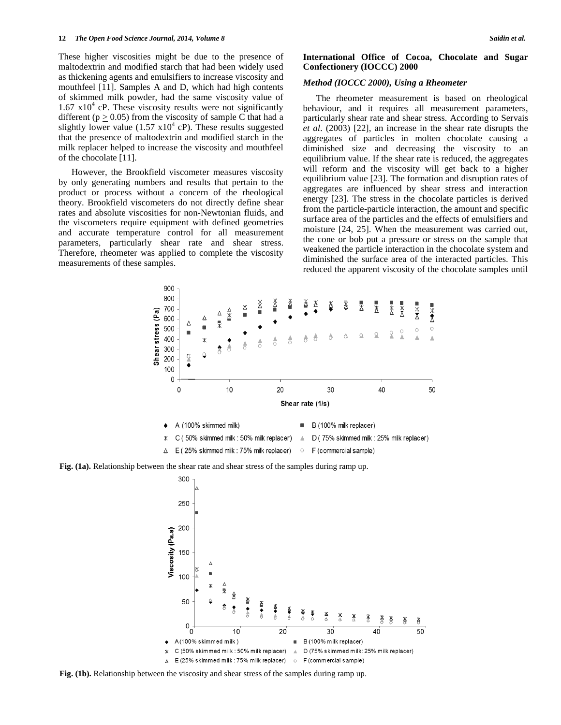These higher viscosities might be due to the presence of maltodextrin and modified starch that had been widely used as thickening agents and emulsifiers to increase viscosity and mouthfeel [11]. Samples A and D, which had high contents of skimmed milk powder, had the same viscosity value of  $1.67 \times 10^4$  cP. These viscosity results were not significantly different ( $p \ge 0.05$ ) from the viscosity of sample C that had a slightly lower value  $(1.57 \times 10^{4} \text{ cP})$ . These results suggested that the presence of maltodextrin and modified starch in the milk replacer helped to increase the viscosity and mouthfeel of the chocolate [11].

However, the Brookfield viscometer measures viscosity by only generating numbers and results that pertain to the product or process without a concern of the rheological theory. Brookfield viscometers do not directly define shear rates and absolute viscosities for non-Newtonian fluids, and the viscometers require equipment with defined geometries and accurate temperature control for all measurement parameters, particularly shear rate and shear stress. Therefore, rheometer was applied to complete the viscosity measurements of these samples.

# **International Office of Cocoa, Chocolate and Sugar Confectionery (IOCCC) 2000**

# *Method (IOCCC 2000), Using a Rheometer*

The rheometer measurement is based on rheological behaviour, and it requires all measurement parameters, particularly shear rate and shear stress. According to Servais *et al*. (2003) [22], an increase in the shear rate disrupts the aggregates of particles in molten chocolate causing a diminished size and decreasing the viscosity to an equilibrium value. If the shear rate is reduced, the aggregates will reform and the viscosity will get back to a higher equilibrium value [23]. The formation and disruption rates of aggregates are influenced by shear stress and interaction energy [23]. The stress in the chocolate particles is derived from the particle-particle interaction, the amount and specific surface area of the particles and the effects of emulsifiers and moisture [24, 25]. When the measurement was carried out, the cone or bob put a pressure or stress on the sample that weakened the particle interaction in the chocolate system and diminished the surface area of the interacted particles. This reduced the apparent viscosity of the chocolate samples until



**Fig. (1a).** Relationship between the shear rate and shear stress of the samples during ramp up.



**Fig. (1b).** Relationship between the viscosity and shear stress of the samples during ramp up.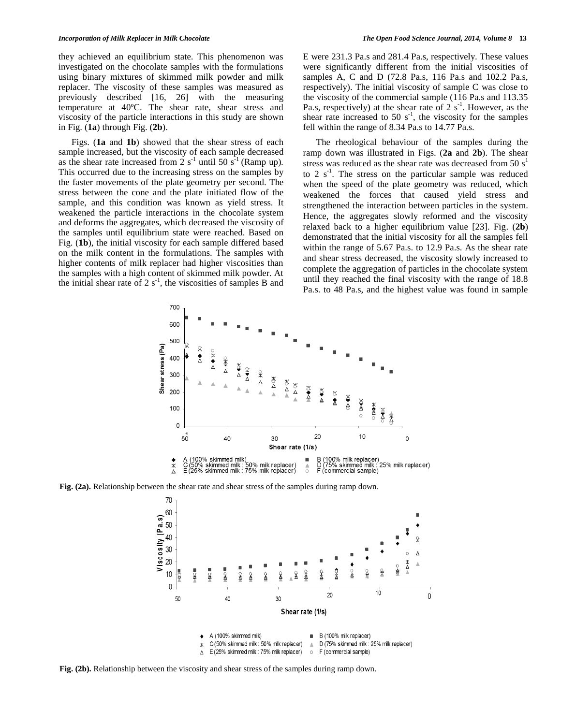they achieved an equilibrium state. This phenomenon was investigated on the chocolate samples with the formulations using binary mixtures of skimmed milk powder and milk replacer. The viscosity of these samples was measured as previously described [16, 26] with the measuring temperature at 40ºC. The shear rate, shear stress and viscosity of the particle interactions in this study are shown in Fig. (**1a**) through Fig. (**2b**).

Figs. (**1a** and **1b**) showed that the shear stress of each sample increased, but the viscosity of each sample decreased as the shear rate increased from  $2 s<sup>-1</sup>$  until 50  $s<sup>-1</sup>$  (Ramp up). This occurred due to the increasing stress on the samples by the faster movements of the plate geometry per second. The stress between the cone and the plate initiated flow of the sample, and this condition was known as yield stress. It weakened the particle interactions in the chocolate system and deforms the aggregates, which decreased the viscosity of the samples until equilibrium state were reached. Based on Fig. (**1b**), the initial viscosity for each sample differed based on the milk content in the formulations. The samples with higher contents of milk replacer had higher viscosities than the samples with a high content of skimmed milk powder. At the initial shear rate of 2  $s^{-1}$ , the viscosities of samples B and E were 231.3 Pa.s and 281.4 Pa.s, respectively. These values were significantly different from the initial viscosities of samples A, C and D (72.8 Pa.s, 116 Pa.s and 102.2 Pa.s, respectively). The initial viscosity of sample C was close to the viscosity of the commercial sample (116 Pa.s and 113.35 Pa.s, respectively) at the shear rate of  $2 \text{ s}^{-1}$ . However, as the shear rate increased to 50  $s^{-1}$ , the viscosity for the samples fell within the range of 8.34 Pa.s to 14.77 Pa.s.

The rheological behaviour of the samples during the ramp down was illustrated in Figs. (**2a** and **2b**). The shear stress was reduced as the shear rate was decreased from 50  $s<sup>1</sup>$ to 2  $s^{-1}$ . The stress on the particular sample was reduced when the speed of the plate geometry was reduced, which weakened the forces that caused yield stress and strengthened the interaction between particles in the system. Hence, the aggregates slowly reformed and the viscosity relaxed back to a higher equilibrium value [23]. Fig. (**2b**) demonstrated that the initial viscosity for all the samples fell within the range of 5.67 Pa.s. to 12.9 Pa.s. As the shear rate and shear stress decreased, the viscosity slowly increased to complete the aggregation of particles in the chocolate system until they reached the final viscosity with the range of 18.8 Pa.s. to 48 Pa.s, and the highest value was found in sample



**Fig. (2a).** Relationship between the shear rate and shear stress of the samples during ramp down.



**Fig. (2b).** Relationship between the viscosity and shear stress of the samples during ramp down.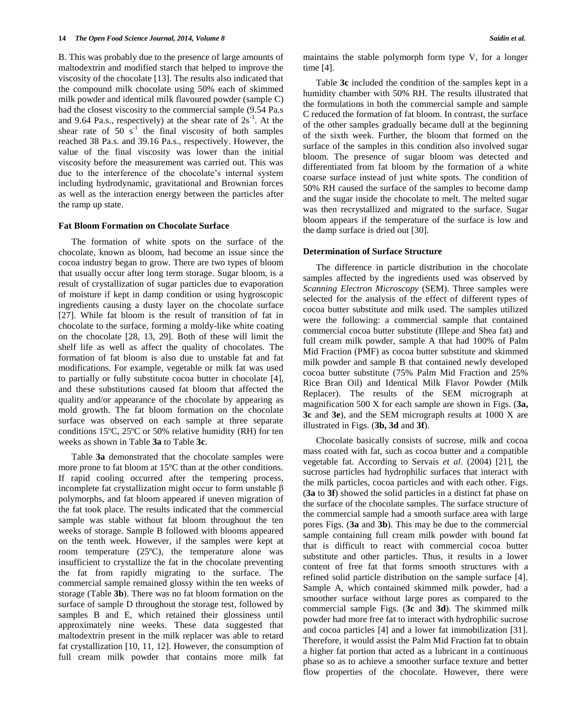B. This was probably due to the presence of large amounts of maltodextrin and modified starch that helped to improve the viscosity of the chocolate [13]. The results also indicated that the compound milk chocolate using 50% each of skimmed milk powder and identical milk flavoured powder (sample C) had the closest viscosity to the commercial sample (9.54 Pa.s and 9.64 Pa.s., respectively) at the shear rate of  $2s^{-1}$ . At the shear rate of  $50 \text{ s}^{-1}$  the final viscosity of both samples reached 38 Pa.s. and 39.16 Pa.s., respectively. However, the value of the final viscosity was lower than the initial viscosity before the measurement was carried out. This was due to the interference of the chocolate's internal system including hydrodynamic, gravitational and Brownian forces as well as the interaction energy between the particles after the ramp up state.

# **Fat Bloom Formation on Chocolate Surface**

The formation of white spots on the surface of the chocolate, known as bloom, had become an issue since the cocoa industry began to grow. There are two types of bloom that usually occur after long term storage. Sugar bloom, is a result of crystallization of sugar particles due to evaporation of moisture if kept in damp condition or using hygroscopic ingredients causing a dusty layer on the chocolate surface [27]. While fat bloom is the result of transition of fat in chocolate to the surface, forming a moldy-like white coating on the chocolate [28, 13, 29]. Both of these will limit the shelf life as well as affect the quality of chocolates. The formation of fat bloom is also due to unstable fat and fat modifications. For example, vegetable or milk fat was used to partially or fully substitute cocoa butter in chocolate [4], and these substitutions caused fat bloom that affected the quality and/or appearance of the chocolate by appearing as mold growth. The fat bloom formation on the chocolate surface was observed on each sample at three separate conditions 15ºC, 25ºC or 50% relative humidity (RH) for ten weeks as shown in Table **3a** to Table **3c**.

Table **3a** demonstrated that the chocolate samples were more prone to fat bloom at 15ºC than at the other conditions. If rapid cooling occurred after the tempering process, incomplete fat crystallization might occur to form unstable β polymorphs, and fat bloom appeared if uneven migration of the fat took place. The results indicated that the commercial sample was stable without fat bloom throughout the ten weeks of storage. Sample B followed with blooms appeared on the tenth week. However, if the samples were kept at room temperature (25ºC), the temperature alone was insufficient to crystallize the fat in the chocolate preventing the fat from rapidly migrating to the surface. The commercial sample remained glossy within the ten weeks of storage (Table **3b**). There was no fat bloom formation on the surface of sample D throughout the storage test, followed by samples B and E, which retained their glossiness until approximately nine weeks. These data suggested that maltodextrin present in the milk replacer was able to retard fat crystallization [10, 11, 12]. However, the consumption of full cream milk powder that contains more milk fat maintains the stable polymorph form type V, for a longer time [4].

Table **3c** included the condition of the samples kept in a humidity chamber with 50% RH. The results illustrated that the formulations in both the commercial sample and sample C reduced the formation of fat bloom. In contrast, the surface of the other samples gradually became dull at the beginning of the sixth week. Further, the bloom that formed on the surface of the samples in this condition also involved sugar bloom. The presence of sugar bloom was detected and differentiated from fat bloom by the formation of a white coarse surface instead of just white spots. The condition of 50% RH caused the surface of the samples to become damp and the sugar inside the chocolate to melt. The melted sugar was then recrystallized and migrated to the surface. Sugar bloom appears if the temperature of the surface is low and the damp surface is dried out [30].

# **Determination of Surface Structure**

The difference in particle distribution in the chocolate samples affected by the ingredients used was observed by *Scanning Electron Microscopy* (SEM). Three samples were selected for the analysis of the effect of different types of cocoa butter substitute and milk used. The samples utilized were the following: a commercial sample that contained commercial cocoa butter substitute (Illepe and Shea fat) and full cream milk powder, sample A that had 100% of Palm Mid Fraction (PMF) as cocoa butter substitute and skimmed milk powder and sample B that contained newly developed cocoa butter substitute (75% Palm Mid Fraction and 25% Rice Bran Oil) and Identical Milk Flavor Powder (Milk Replacer). The results of the SEM micrograph at magnification 500 X for each sample are shown in Figs. (**3a, 3c** and **3e**), and the SEM micrograph results at 1000 X are illustrated in Figs. (**3b, 3d** and **3f**).

Chocolate basically consists of sucrose, milk and cocoa mass coated with fat, such as cocoa butter and a compatible vegetable fat. According to Servais *et al*. (2004) [21], the sucrose particles had hydrophilic surfaces that interact with the milk particles, cocoa particles and with each other. Figs. (**3a** to **3f**) showed the solid particles in a distinct fat phase on the surface of the chocolate samples. The surface structure of the commercial sample had a smooth surface area with large pores Figs. (**3a** and **3b**). This may be due to the commercial sample containing full cream milk powder with bound fat that is difficult to react with commercial cocoa butter substitute and other particles. Thus, it results in a lower content of free fat that forms smooth structures with a refined solid particle distribution on the sample surface [4]. Sample A, which contained skimmed milk powder, had a smoother surface without large pores as compared to the commercial sample Figs. (**3c** and **3d**). The skimmed milk powder had more free fat to interact with hydrophilic sucrose and cocoa particles [4] and a lower fat immobilization [31]. Therefore, it would assist the Palm Mid Fraction fat to obtain a higher fat portion that acted as a lubricant in a continuous phase so as to achieve a smoother surface texture and better flow properties of the chocolate. However, there were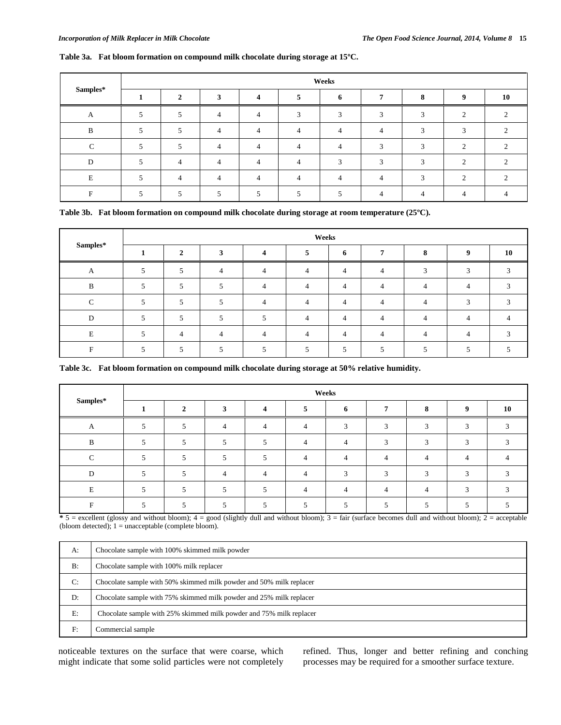# **Table 3a. Fat bloom formation on compound milk chocolate during storage at 15ºC.**

| Samples* | Weeks |                |                |  |  |        |                          |            |          |    |
|----------|-------|----------------|----------------|--|--|--------|--------------------------|------------|----------|----|
|          |       | ↑              | ◠              |  |  | 6      |                          |            | $\bf{o}$ | 10 |
| A        |       |                | 4              |  |  | $\sim$ |                          |            | $\sim$   |    |
| D        |       |                | $\overline{4}$ |  |  |        |                          |            | $\sim$   |    |
| $\sim$   |       |                | 4              |  |  |        | $\sim$                   | $\sqrt{2}$ | $\sim$   |    |
|          |       | 4              | $\overline{4}$ |  |  | $\sim$ | $\overline{\phantom{a}}$ |            | $\sim$   |    |
|          |       | $\overline{4}$ | 4              |  |  |        |                          |            | $\sim$   |    |
|          |       |                |                |  |  |        |                          |            |          |    |

|  |  | Table 3b. Fat bloom formation on compound milk chocolate during storage at room temperature $(25^{\circ}C)$ . |
|--|--|---------------------------------------------------------------------------------------------------------------|
|  |  |                                                                                                               |

| Samples* | Weeks |                |  |  |                |                |                |  |              |    |
|----------|-------|----------------|--|--|----------------|----------------|----------------|--|--------------|----|
|          |       | $\gamma$       |  |  |                | 6              |                |  | $\mathbf{o}$ | 10 |
| A        |       | 5              |  |  | 4              | $\overline{4}$ | $\overline{4}$ |  | 2            |    |
| R        |       | 5              |  |  | $\overline{4}$ | $\overline{4}$ | $\overline{4}$ |  |              |    |
| $\sim$   |       | 5              |  |  | Δ              | $\overline{4}$ | 4              |  | $\sqrt{2}$   |    |
| D        |       |                |  |  | $\overline{4}$ | $\overline{4}$ | $\overline{4}$ |  | 4            |    |
| E        |       | $\overline{4}$ |  |  | 4              | $\overline{4}$ | $\overline{4}$ |  |              |    |
| -        |       |                |  |  |                | 5              |                |  |              |    |

**Table 3c. Fat bloom formation on compound milk chocolate during storage at 50% relative humidity.**

|                      | Weeks |   |  |  |  |            |  |         |   |    |
|----------------------|-------|---|--|--|--|------------|--|---------|---|----|
| $\mathbf{Samples}^*$ |       | ◠ |  |  |  | 6          |  | $\circ$ | q | 10 |
|                      |       |   |  |  |  | $\sqrt{2}$ |  | ⌒       |   |    |
| D                    |       |   |  |  |  |            |  | ⌒       | ⌒ |    |
|                      |       |   |  |  |  |            |  |         |   |    |
| D                    |       |   |  |  |  | $\sim$     |  |         | ⌒ |    |
|                      |       |   |  |  |  |            |  |         |   |    |
|                      |       |   |  |  |  |            |  |         |   |    |

 $\overline{\bullet}$  5 = excellent (glossy and without bloom); 4 = good (slightly dull and without bloom); 3 = fair (surface becomes dull and without bloom); 2 = acceptable (bloom detected); 1 = unacceptable (complete bloom).

| A:    | Chocolate sample with 100% skimmed milk powder                      |
|-------|---------------------------------------------------------------------|
| $B$ : | Chocolate sample with 100% milk replacer                            |
| C:    | Chocolate sample with 50% skimmed milk powder and 50% milk replacer |
| D:    | Chocolate sample with 75% skimmed milk powder and 25% milk replacer |
| E:    | Chocolate sample with 25% skimmed milk powder and 75% milk replacer |
| F:    | Commercial sample                                                   |

noticeable textures on the surface that were coarse, which might indicate that some solid particles were not completely refined. Thus, longer and better refining and conching processes may be required for a smoother surface texture.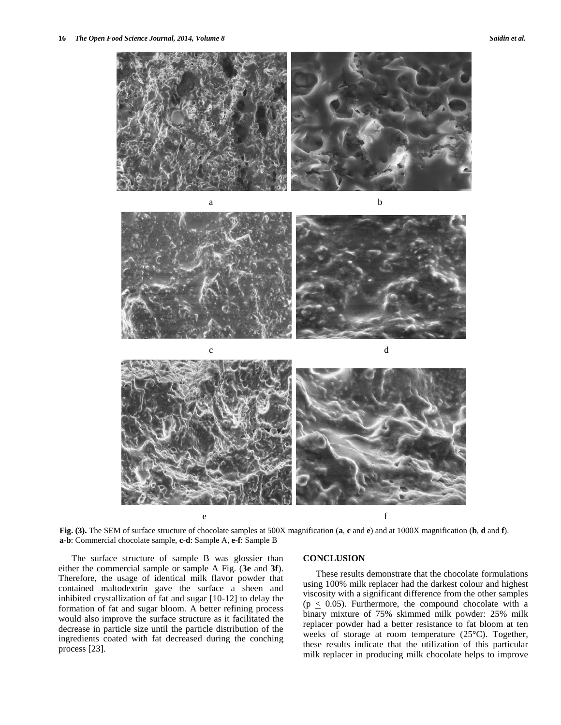



**Fig. (3).** The SEM of surface structure of chocolate samples at 500X magnification (**a**, **c** and **e**) and at 1000X magnification (**b**, **d** and **f**). **a**-**b**: Commercial chocolate sample, **c**-**d**: Sample A, **e-f**: Sample B

The surface structure of sample B was glossier than either the commercial sample or sample A Fig. (**3e** and **3f**). Therefore, the usage of identical milk flavor powder that contained maltodextrin gave the surface a sheen and inhibited crystallization of fat and sugar [10-12] to delay the formation of fat and sugar bloom. A better refining process would also improve the surface structure as it facilitated the decrease in particle size until the particle distribution of the ingredients coated with fat decreased during the conching process [23].

#### **CONCLUSION**

These results demonstrate that the chocolate formulations using 100% milk replacer had the darkest colour and highest viscosity with a significant difference from the other samples ( $p \leq 0.05$ ). Furthermore, the compound chocolate with a binary mixture of 75% skimmed milk powder: 25% milk replacer powder had a better resistance to fat bloom at ten weeks of storage at room temperature (25°C). Together, these results indicate that the utilization of this particular milk replacer in producing milk chocolate helps to improve